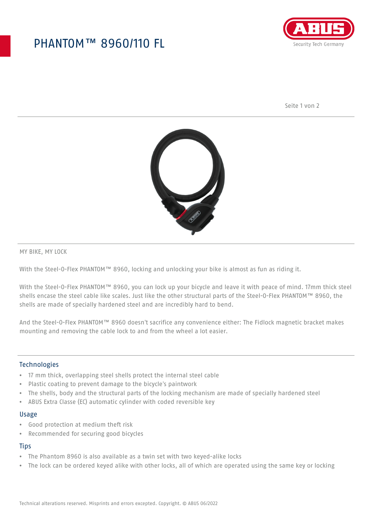## PHANTOM™ 8960/110 FL



Seite 1 von 2



MY BIKE, MY LOCK

With the Steel-O-Flex PHANTOM™ 8960, locking and unlocking your bike is almost as fun as riding it.

With the Steel-O-Flex PHANTOM™ 8960, you can lock up your bicycle and leave it with peace of mind. 17mm thick steel shells encase the steel cable like scales. Just like the other structural parts of the Steel-O-Flex PHANTOM™ 8960, the shells are made of specially hardened steel and are incredibly hard to bend.

And the Steel-O-Flex PHANTOM™ 8960 doesn't sacrifice any convenience either: The Fidlock magnetic bracket makes mounting and removing the cable lock to and from the wheel a lot easier.

## Technologies

- 17 mm thick, overlapping steel shells protect the internal steel cable
- Plastic coating to prevent damage to the bicycle's paintwork
- The shells, body and the structural parts of the locking mechanism are made of specially hardened steel
- ABUS Extra Classe (EC) automatic cylinder with coded reversible key

#### Usage

- Good protection at medium theft risk
- Recommended for securing good bicycles

### **Tips**

- The Phantom 8960 is also available as a twin set with two keyed-alike locks
- The lock can be ordered keyed alike with other locks, all of which are operated using the same key or locking